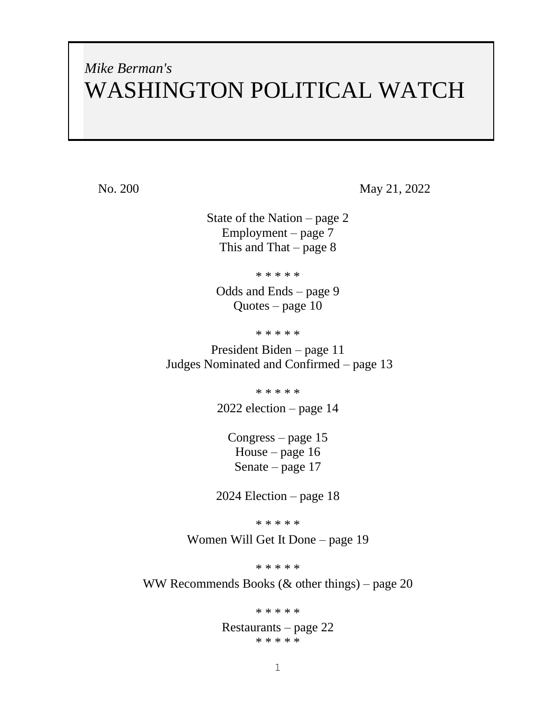# *Mike Berman's* WASHINGTON POLITICAL WATCH

No. 200 May 21, 2022

State of the Nation – page 2 Employment – page 7 This and That – page  $8$ 

\* \* \* \* \*

Odds and Ends – page 9 Quotes – page 10

\* \* \* \* \*

President Biden – page 11 Judges Nominated and Confirmed – page 13

\* \* \* \* \*

2022 election – page 14

Congress – page 15 House – page 16 Senate – page 17

2024 Election – page 18

\* \* \* \* \*

Women Will Get It Done – page 19

\* \* \* \* \*

WW Recommends Books (& other things) – page 20

\* \* \* \* \*

Restaurants – page 22 \* \* \* \* \*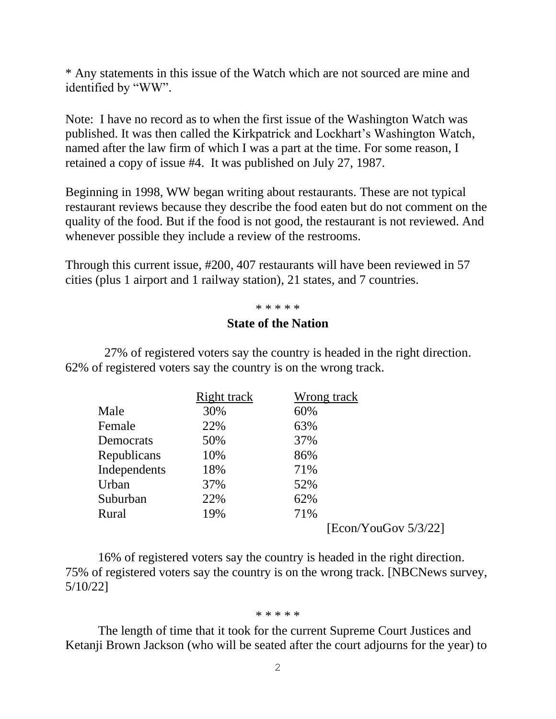\* Any statements in this issue of the Watch which are not sourced are mine and identified by "WW".

Note: I have no record as to when the first issue of the Washington Watch was published. It was then called the Kirkpatrick and Lockhart's Washington Watch, named after the law firm of which I was a part at the time. For some reason, I retained a copy of issue #4. It was published on July 27, 1987.

Beginning in 1998, WW began writing about restaurants. These are not typical restaurant reviews because they describe the food eaten but do not comment on the quality of the food. But if the food is not good, the restaurant is not reviewed. And whenever possible they include a review of the restrooms.

Through this current issue, #200, 407 restaurants will have been reviewed in 57 cities (plus 1 airport and 1 railway station), 21 states, and 7 countries.

### \* \* \* \* \*

## **State of the Nation**

27% of registered voters say the country is headed in the right direction. 62% of registered voters say the country is on the wrong track.

|              | Right track | Wrong track          |  |
|--------------|-------------|----------------------|--|
| Male         | 30%         | 60%                  |  |
| Female       | 22%         | 63%                  |  |
| Democrats    | 50%         | 37%                  |  |
| Republicans  | 10%         | 86%                  |  |
| Independents | 18%         | 71%                  |  |
| Urban        | 37%         | 52%                  |  |
| Suburban     | 22%         | 62%                  |  |
| Rural        | 19%         | 71%                  |  |
|              |             | [Econ/YouGov 5/3/22] |  |

16% of registered voters say the country is headed in the right direction. 75% of registered voters say the country is on the wrong track. [NBCNews survey, 5/10/22]

#### \* \* \* \* \*

The length of time that it took for the current Supreme Court Justices and Ketanji Brown Jackson (who will be seated after the court adjourns for the year) to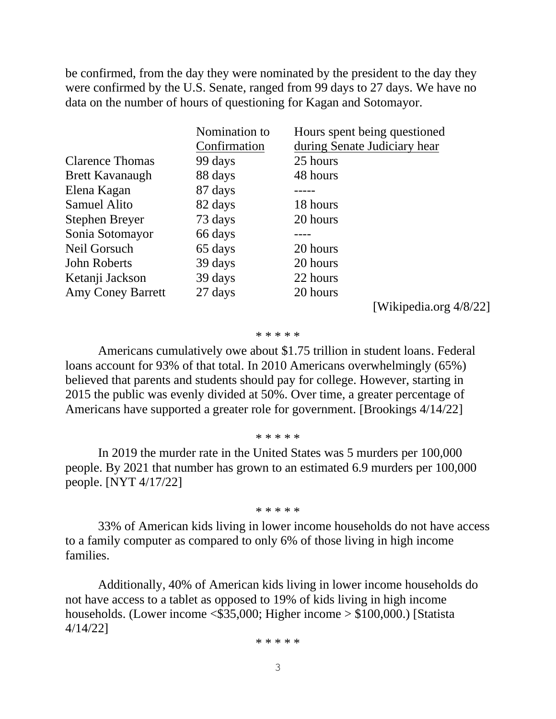be confirmed, from the day they were nominated by the president to the day they were confirmed by the U.S. Senate, ranged from 99 days to 27 days. We have no data on the number of hours of questioning for Kagan and Sotomayor.

|                          | Nomination to | Hours spent being questioned |
|--------------------------|---------------|------------------------------|
|                          | Confirmation  | during Senate Judiciary hear |
| <b>Clarence Thomas</b>   | 99 days       | 25 hours                     |
| <b>Brett Kavanaugh</b>   | 88 days       | 48 hours                     |
| Elena Kagan              | 87 days       |                              |
| <b>Samuel Alito</b>      | 82 days       | 18 hours                     |
| Stephen Breyer           | 73 days       | 20 hours                     |
| Sonia Sotomayor          | 66 days       |                              |
| Neil Gorsuch             | 65 days       | 20 hours                     |
| <b>John Roberts</b>      | 39 days       | 20 hours                     |
| Ketanji Jackson          | 39 days       | 22 hours                     |
| <b>Amy Coney Barrett</b> | 27 days       | 20 hours                     |

[Wikipedia.org 4/8/22]

#### \* \* \* \* \*

Americans cumulatively owe about \$1.75 trillion in student loans. Federal loans account for 93% of that total. In 2010 Americans overwhelmingly (65%) believed that parents and students should pay for college. However, starting in 2015 the public was evenly divided at 50%. Over time, a greater percentage of Americans have supported a greater role for government. [Brookings 4/14/22]

#### \* \* \* \* \*

In 2019 the murder rate in the United States was 5 murders per 100,000 people. By 2021 that number has grown to an estimated 6.9 murders per 100,000 people. [NYT 4/17/22]

#### \* \* \* \* \*

33% of American kids living in lower income households do not have access to a family computer as compared to only 6% of those living in high income families.

Additionally, 40% of American kids living in lower income households do not have access to a tablet as opposed to 19% of kids living in high income households. (Lower income <\$35,000; Higher income > \$100,000.) [Statista 4/14/22]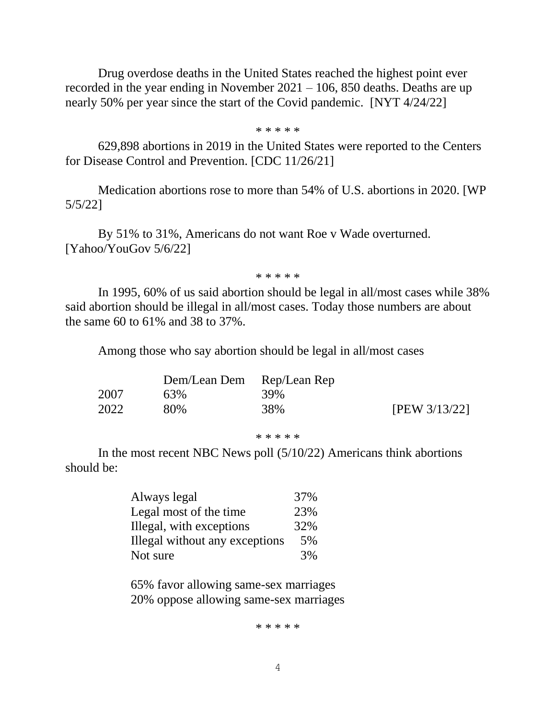Drug overdose deaths in the United States reached the highest point ever recorded in the year ending in November 2021 – 106, 850 deaths. Deaths are up nearly 50% per year since the start of the Covid pandemic. [NYT 4/24/22]

\* \* \* \* \*

629,898 abortions in 2019 in the United States were reported to the Centers for Disease Control and Prevention. [CDC 11/26/21]

Medication abortions rose to more than 54% of U.S. abortions in 2020. [WP 5/5/22]

By 51% to 31%, Americans do not want Roe v Wade overturned. [Yahoo/YouGov 5/6/22]

\* \* \* \* \*

In 1995, 60% of us said abortion should be legal in all/most cases while 38% said abortion should be illegal in all/most cases. Today those numbers are about the same 60 to 61% and 38 to 37%.

Among those who say abortion should be legal in all/most cases

|      | Dem/Lean Dem Rep/Lean Rep |     |               |
|------|---------------------------|-----|---------------|
| 2007 | 63%                       | 39% |               |
| 2022 | 80%                       | 38% | [PEW 3/13/22] |

\* \* \* \* \*

In the most recent NBC News poll (5/10/22) Americans think abortions should be:

| Always legal                   | 37% |
|--------------------------------|-----|
| Legal most of the time         | 23% |
| Illegal, with exceptions       | 32% |
| Illegal without any exceptions | 5%  |
| Not sure                       | 3%  |

65% favor allowing same-sex marriages 20% oppose allowing same-sex marriages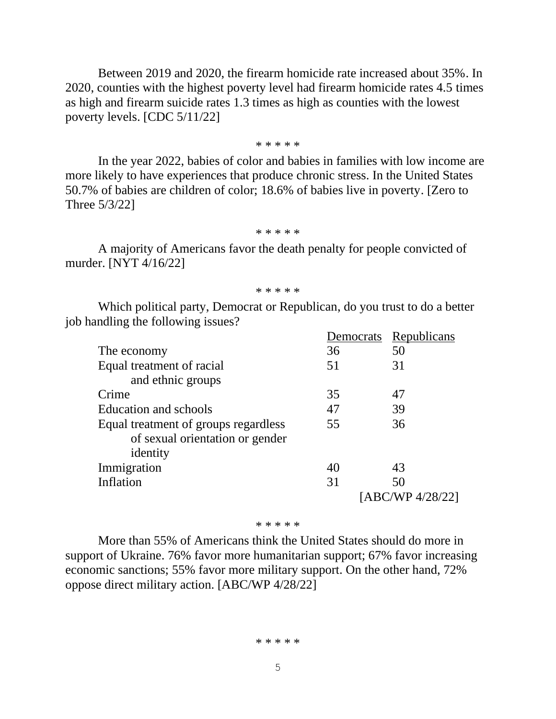Between 2019 and 2020, the firearm homicide rate increased about 35%. In 2020, counties with the highest poverty level had firearm homicide rates 4.5 times as high and firearm suicide rates 1.3 times as high as counties with the lowest poverty levels. [CDC 5/11/22]

\* \* \* \* \*

In the year 2022, babies of color and babies in families with low income are more likely to have experiences that produce chronic stress. In the United States 50.7% of babies are children of color; 18.6% of babies live in poverty. [Zero to Three 5/3/22]

#### \* \* \* \* \*

A majority of Americans favor the death penalty for people convicted of murder. [NYT 4/16/22]

\* \* \* \* \*

Which political party, Democrat or Republican, do you trust to do a better job handling the following issues?

|                                      | Democrats | Republicans      |
|--------------------------------------|-----------|------------------|
| The economy                          | 36        | 50               |
| Equal treatment of racial            | 51        | 31               |
| and ethnic groups                    |           |                  |
| Crime                                | 35        | 47               |
| Education and schools                | 47        | 39               |
| Equal treatment of groups regardless | 55        | 36               |
| of sexual orientation or gender      |           |                  |
| identity                             |           |                  |
| Immigration                          | 40        | 43               |
| Inflation                            | 31        | 50               |
|                                      |           | [ABC/WP 4/28/22] |

#### \* \* \* \* \*

More than 55% of Americans think the United States should do more in support of Ukraine. 76% favor more humanitarian support; 67% favor increasing economic sanctions; 55% favor more military support. On the other hand, 72% oppose direct military action. [ABC/WP 4/28/22]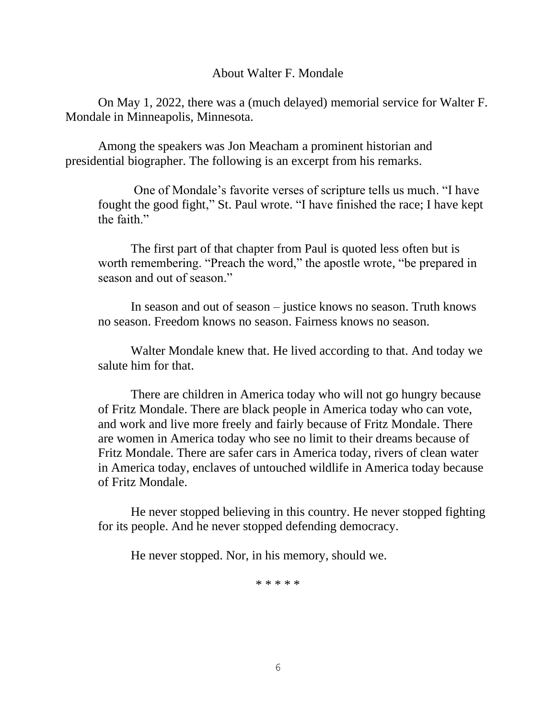# About Walter F. Mondale

On May 1, 2022, there was a (much delayed) memorial service for Walter F. Mondale in Minneapolis, Minnesota.

Among the speakers was Jon Meacham a prominent historian and presidential biographer. The following is an excerpt from his remarks.

One of Mondale's favorite verses of scripture tells us much. "I have fought the good fight," St. Paul wrote. "I have finished the race; I have kept the faith."

The first part of that chapter from Paul is quoted less often but is worth remembering. "Preach the word," the apostle wrote, "be prepared in season and out of season."

In season and out of season – justice knows no season. Truth knows no season. Freedom knows no season. Fairness knows no season.

Walter Mondale knew that. He lived according to that. And today we salute him for that.

There are children in America today who will not go hungry because of Fritz Mondale. There are black people in America today who can vote, and work and live more freely and fairly because of Fritz Mondale. There are women in America today who see no limit to their dreams because of Fritz Mondale. There are safer cars in America today, rivers of clean water in America today, enclaves of untouched wildlife in America today because of Fritz Mondale.

He never stopped believing in this country. He never stopped fighting for its people. And he never stopped defending democracy.

He never stopped. Nor, in his memory, should we.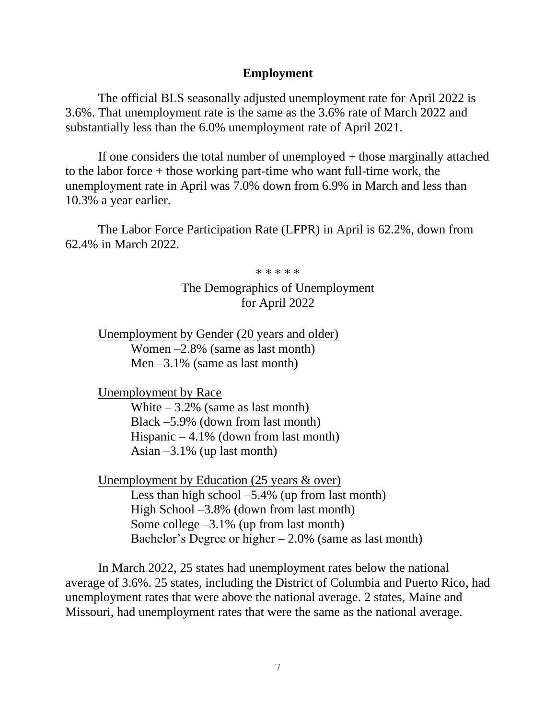# **Employment**

The official BLS seasonally adjusted unemployment rate for April 2022 is 3.6%. That unemployment rate is the same as the 3.6% rate of March 2022 and substantially less than the 6.0% unemployment rate of April 2021.

If one considers the total number of unemployed + those marginally attached to the labor force + those working part-time who want full-time work, the unemployment rate in April was 7.0% down from 6.9% in March and less than 10.3% a year earlier.

The Labor Force Participation Rate (LFPR) in April is 62.2%, down from 62.4% in March 2022.

\* \* \* \* \*

The Demographics of Unemployment for April 2022

Unemployment by Gender (20 years and older) Women –2.8% (same as last month) Men  $-3.1\%$  (same as last month)

Unemployment by Race

White  $-3.2\%$  (same as last month) Black –5.9% (down from last month) Hispanic  $-4.1\%$  (down from last month) Asian  $-3.1\%$  (up last month)

Unemployment by Education (25 years & over) Less than high school  $-5.4\%$  (up from last month) High School –3.8% (down from last month) Some college  $-3.1\%$  (up from last month) Bachelor's Degree or higher  $-2.0\%$  (same as last month)

In March 2022, 25 states had unemployment rates below the national average of 3.6%. 25 states, including the District of Columbia and Puerto Rico, had unemployment rates that were above the national average. 2 states, Maine and Missouri, had unemployment rates that were the same as the national average.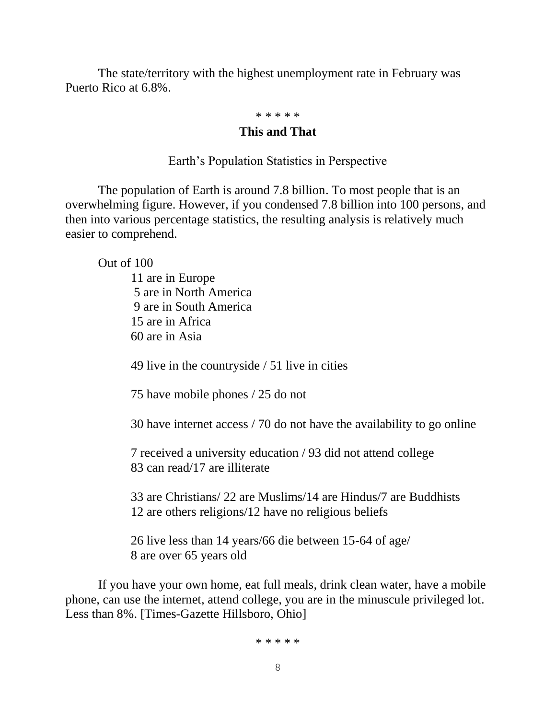The state/territory with the highest unemployment rate in February was Puerto Rico at 6.8%.

# \* \* \* \* \*

# **This and That**

Earth's Population Statistics in Perspective

The population of Earth is around 7.8 billion. To most people that is an overwhelming figure. However, if you condensed 7.8 billion into 100 persons, and then into various percentage statistics, the resulting analysis is relatively much easier to comprehend.

Out of 100

11 are in Europe 5 are in North America 9 are in South America 15 are in Africa 60 are in Asia

49 live in the countryside / 51 live in cities

75 have mobile phones / 25 do not

30 have internet access / 70 do not have the availability to go online

7 received a university education / 93 did not attend college 83 can read/17 are illiterate

33 are Christians/ 22 are Muslims/14 are Hindus/7 are Buddhists 12 are others religions/12 have no religious beliefs

26 live less than 14 years/66 die between 15-64 of age/ 8 are over 65 years old

If you have your own home, eat full meals, drink clean water, have a mobile phone, can use the internet, attend college, you are in the minuscule privileged lot. Less than 8%. [Times-Gazette Hillsboro, Ohio]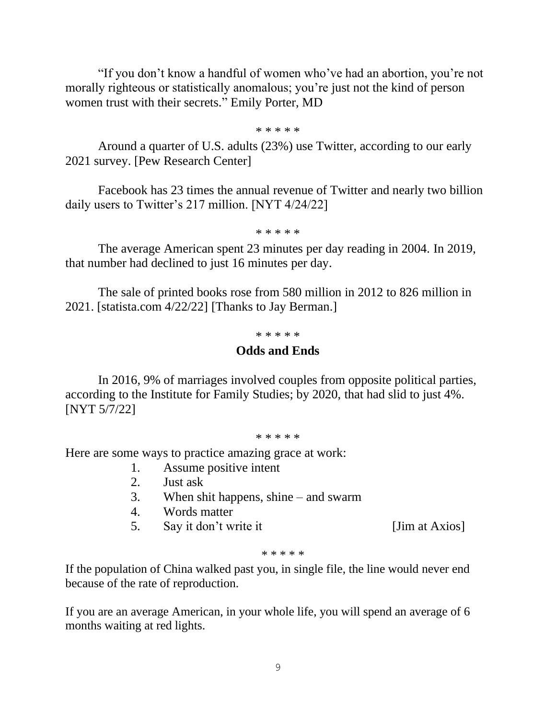"If you don't know a handful of women who've had an abortion, you're not morally righteous or statistically anomalous; you're just not the kind of person women trust with their secrets." Emily Porter, MD

\* \* \* \* \*

Around a quarter of U.S. adults (23%) use Twitter, according to our early 2021 survey. [Pew Research Center]

Facebook has 23 times the annual revenue of Twitter and nearly two billion daily users to Twitter's 217 million. [NYT 4/24/22]

\* \* \* \* \*

The average American spent 23 minutes per day reading in 2004. In 2019, that number had declined to just 16 minutes per day.

The sale of printed books rose from 580 million in 2012 to 826 million in 2021. [statista.com 4/22/22] [Thanks to Jay Berman.]

#### \* \* \* \* \*

## **Odds and Ends**

In 2016, 9% of marriages involved couples from opposite political parties, according to the Institute for Family Studies; by 2020, that had slid to just 4%. [NYT 5/7/22]

#### \* \* \* \* \*

Here are some ways to practice amazing grace at work:

- 1. Assume positive intent
- 2. Just ask
- 3. When shit happens, shine and swarm
- 4. Words matter
- 5. Say it don't write it [Jim at Axios]

\* \* \* \* \*

If the population of China walked past you, in single file, the line would never end because of the rate of reproduction.

If you are an average American, in your whole life, you will spend an average of 6 months waiting at red lights.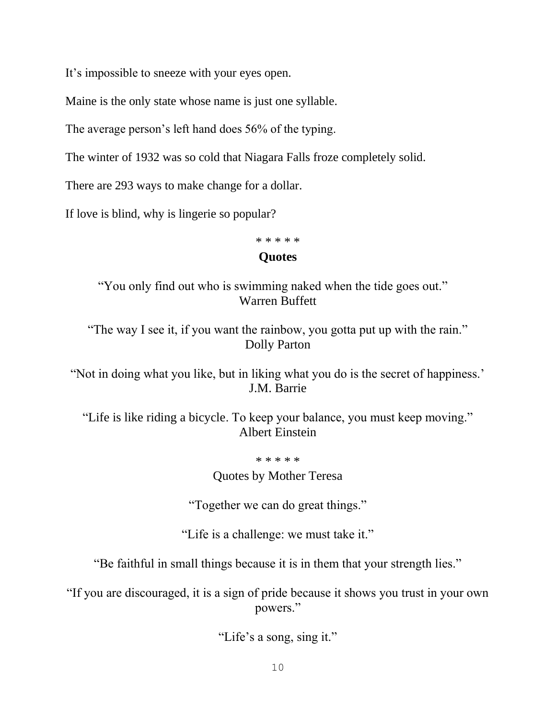It's impossible to sneeze with your eyes open.

Maine is the only state whose name is just one syllable.

The average person's left hand does 56% of the typing.

The winter of 1932 was so cold that Niagara Falls froze completely solid.

There are 293 ways to make change for a dollar.

If love is blind, why is lingerie so popular?

# \* \* \* \* \* **Quotes**

"You only find out who is swimming naked when the tide goes out." Warren Buffett

"The way I see it, if you want the rainbow, you gotta put up with the rain." Dolly Parton

"Not in doing what you like, but in liking what you do is the secret of happiness.' J.M. Barrie

"Life is like riding a bicycle. To keep your balance, you must keep moving." Albert Einstein

\* \* \* \* \*

Quotes by Mother Teresa

"Together we can do great things."

"Life is a challenge: we must take it."

"Be faithful in small things because it is in them that your strength lies."

"If you are discouraged, it is a sign of pride because it shows you trust in your own powers."

"Life's a song, sing it."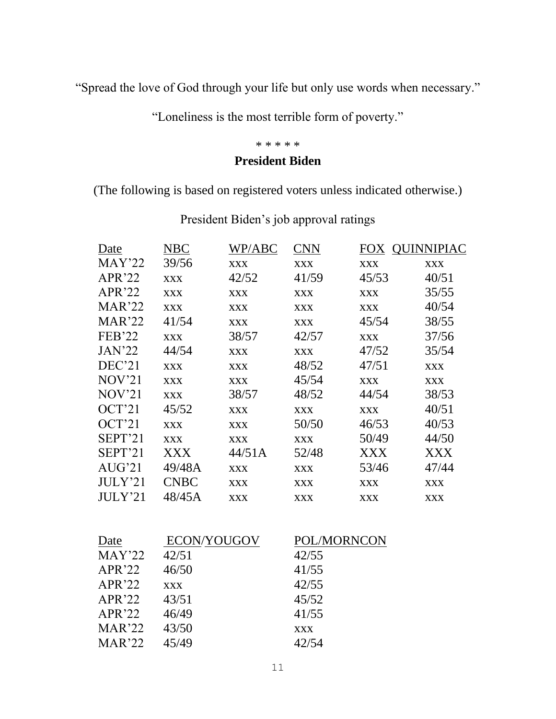"Spread the love of God through your life but only use words when necessary."

"Loneliness is the most terrible form of poverty."

#### \* \* \* \* \*

# **President Biden**

(The following is based on registered voters unless indicated otherwise.)

| Date              | <b>NBC</b>  | WP/ABC     | <b>CNN</b> |             | FOX QUINNIPIAC |
|-------------------|-------------|------------|------------|-------------|----------------|
| MAY'22            | 39/56       | <b>XXX</b> | <b>XXX</b> | <b>XXX</b>  | <b>XXX</b>     |
| APR'22            | <b>XXX</b>  | 42/52      | 41/59      | 45/53       | 40/51          |
| $APR^222$         | <b>XXX</b>  | <b>XXX</b> | <b>XXX</b> | <b>XXX</b>  | 35/55          |
| MAR'22            | <b>XXX</b>  | <b>XXX</b> | <b>XXX</b> | <b>XXX</b>  | 40/54          |
| MAR'22            | 41/54       | <b>XXX</b> | <b>XXX</b> | 45/54       | 38/55          |
| <b>FEB'22</b>     | <b>XXX</b>  | 38/57      | 42/57      | <b>XXX</b>  | 37/56          |
| <b>JAN'22</b>     | 44/54       | <b>XXX</b> | <b>XXX</b> | 47/52       | 35/54          |
| DEC'21            | <b>XXX</b>  | <b>XXX</b> | 48/52      | 47/51       | <b>XXX</b>     |
| NOV <sup>21</sup> | <b>XXX</b>  | <b>XXX</b> | 45/54      | <b>XXX</b>  | <b>XXX</b>     |
| NOV <sup>21</sup> | <b>XXX</b>  | 38/57      | 48/52      | 44/54       | 38/53          |
| OCT'21            | 45/52       | <b>XXX</b> | <b>XXX</b> | <b>XXX</b>  | 40/51          |
| OCT'21            | <b>XXX</b>  | <b>XXX</b> | 50/50      | 46/53       | 40/53          |
| SEPT'21           | <b>XXX</b>  | <b>XXX</b> | <b>XXX</b> | 50/49       | 44/50          |
| SEPT'21           | XXX         | 44/51A     | 52/48      | XXX         | <b>XXX</b>     |
| AUG'21            | 49/48A      | <b>XXX</b> | <b>XXX</b> | 53/46       | 47/44          |
| JULY'21           | <b>CNBC</b> | <b>XXX</b> | <b>XXX</b> | <b>XXX</b>  | <b>XXX</b>     |
| JULY'21           | 48/45A      | <b>XXX</b> | <b>XXX</b> | <b>XXX</b>  | <b>XXX</b>     |
|                   |             |            |            |             |                |
| Date              | ECON/YOUGOV |            |            | POL/MORNCON |                |
| MAY'22            | 42/51       |            | 42/55      |             |                |
| APR'22            | 46/50       |            | 41/55      |             |                |
| $APR^222$         | <b>XXX</b>  |            | 42/55      |             |                |

President Biden's job approval ratings

APR'22 43/51 45/52 APR'22 46/49 41/55 MAR'22 43/50 xxx MAR'22 45/49 42/54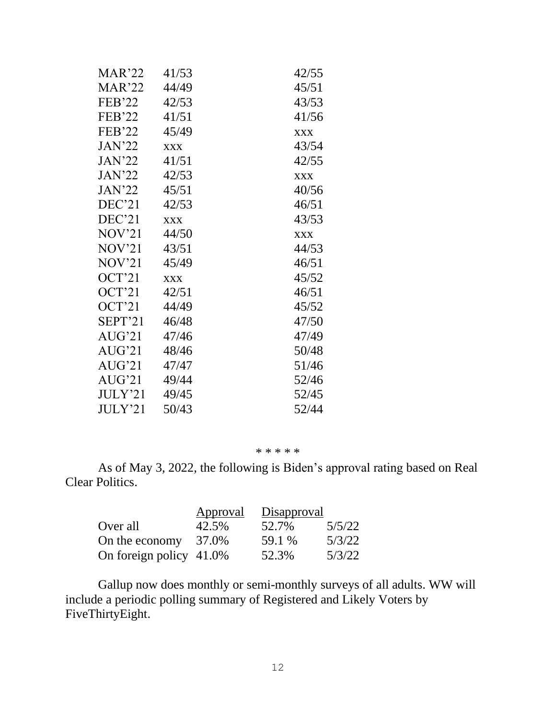| MAR'22            | 41/53      | 42/55      |
|-------------------|------------|------------|
| MAR'22            | 44/49      | 45/51      |
| FEB'22            | 42/53      | 43/53      |
| <b>FEB'22</b>     | 41/51      | 41/56      |
| <b>FEB'22</b>     | 45/49      | <b>XXX</b> |
| JAN'22            | <b>XXX</b> | 43/54      |
| <b>JAN'22</b>     | 41/51      | 42/55      |
| JAN'22            | 42/53      | <b>XXX</b> |
| JAN'22            | 45/51      | 40/56      |
| DEC'21            | 42/53      | 46/51      |
| DEC'21            | <b>XXX</b> | 43/53      |
| NOV'21            | 44/50      | <b>XXX</b> |
| NOV'21            | 43/51      | 44/53      |
| NOV <sup>21</sup> | 45/49      | 46/51      |
| OCT'21            | <b>XXX</b> | 45/52      |
| OCT'21            | 42/51      | 46/51      |
| OCT'21            | 44/49      | 45/52      |
| SEPT'21           | 46/48      | 47/50      |
| AUG'21            | 47/46      | 47/49      |
| AUG'21            | 48/46      | 50/48      |
| AUG'21            | 47/47      | 51/46      |
| AUG'21            | 49/44      | 52/46      |
| JULY'21           | 49/45      | 52/45      |
| JULY'21           | 50/43      | 52/44      |

#### \* \* \* \* \*

As of May 3, 2022, the following is Biden's approval rating based on Real Clear Politics.

|                            | Approval | Disapproval |        |
|----------------------------|----------|-------------|--------|
| Over all                   | 42.5%    | 52.7%       | 5/5/22 |
| On the economy $37.0\%$    |          | 59.1 %      | 5/3/22 |
| On foreign policy $41.0\%$ |          | 52.3%       | 5/3/22 |

Gallup now does monthly or semi-monthly surveys of all adults. WW will include a periodic polling summary of Registered and Likely Voters by FiveThirtyEight.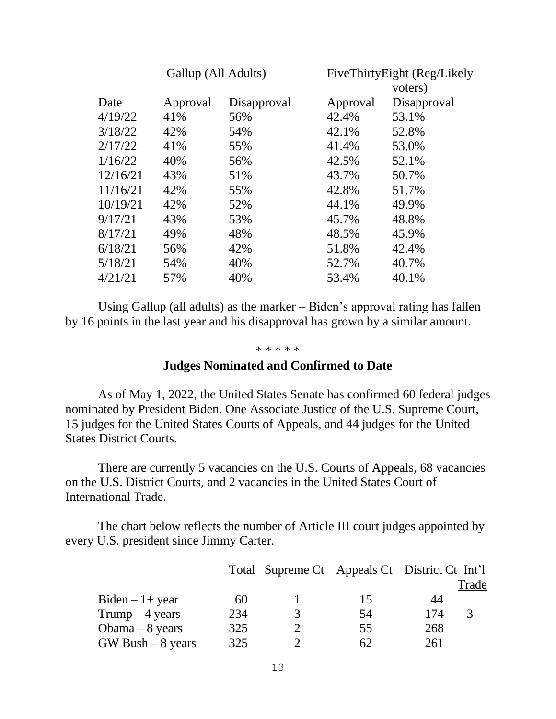| Gallup (All Adults) |          | FiveThirtyEight (Reg/Likely |          |             |
|---------------------|----------|-----------------------------|----------|-------------|
|                     |          |                             |          | voters)     |
| Date                | Approval | Disapproval                 | Approval | Disapproval |
| 4/19/22             | 41%      | 56%                         | 42.4%    | 53.1%       |
| 3/18/22             | 42%      | 54%                         | 42.1%    | 52.8%       |
| 2/17/22             | 41%      | 55%                         | 41.4%    | 53.0%       |
| 1/16/22             | 40%      | 56%                         | 42.5%    | 52.1%       |
| 12/16/21            | 43%      | 51%                         | 43.7%    | 50.7%       |
| 11/16/21            | 42%      | 55%                         | 42.8%    | 51.7%       |
| 10/19/21            | 42%      | 52%                         | 44.1%    | 49.9%       |
| 9/17/21             | 43%      | 53%                         | 45.7%    | 48.8%       |
| 8/17/21             | 49%      | 48%                         | 48.5%    | 45.9%       |
| 6/18/21             | 56%      | 42%                         | 51.8%    | 42.4%       |
| 5/18/21             | 54%      | 40%                         | 52.7%    | 40.7%       |
| 4/21/21             | 57%      | 40%                         | 53.4%    | 40.1%       |
|                     |          |                             |          |             |

Using Gallup (all adults) as the marker – Biden's approval rating has fallen by 16 points in the last year and his disapproval has grown by a similar amount.

#### \* \* \* \* \*

# **Judges Nominated and Confirmed to Date**

As of May 1, 2022, the United States Senate has confirmed 60 federal judges nominated by President Biden. One Associate Justice of the U.S. Supreme Court, 15 judges for the United States Courts of Appeals, and 44 judges for the United States District Courts.

There are currently 5 vacancies on the U.S. Courts of Appeals, 68 vacancies on the U.S. District Courts, and 2 vacancies in the United States Court of International Trade.

The chart below reflects the number of Article III court judges appointed by every U.S. president since Jimmy Carter.

|                      |     | <u>Total Supreme Ct Appeals Ct District Ct Int'l</u> |    |     |       |
|----------------------|-----|------------------------------------------------------|----|-----|-------|
|                      |     |                                                      |    |     | Trade |
| $Biden - 1 + year$   | 60  |                                                      | 15 | 44  |       |
| Trump $-4$ years     | 234 |                                                      | 54 | 174 |       |
| Obama $-8$ years     | 325 |                                                      | 55 | 268 |       |
| $GW$ Bush $-8$ years | 325 |                                                      | 62 | 261 |       |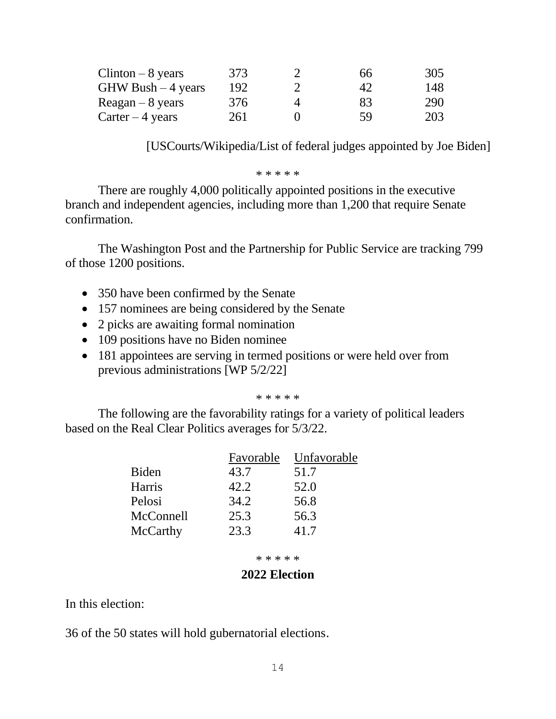| $Clinton - 8 \text{ years}$       | 373 | 66 | 305 |
|-----------------------------------|-----|----|-----|
| $GHW$ Bush $-4$ years             | 192 | 42 | 148 |
| $\text{Reagan} - 8 \text{ years}$ | 376 | 83 | 290 |
| Carter $-4$ years                 | 261 | 59 | 203 |

[USCourts/Wikipedia/List of federal judges appointed by Joe Biden]

#### \* \* \* \* \*

There are roughly 4,000 politically appointed positions in the executive branch and independent agencies, including more than 1,200 that require Senate confirmation.

The Washington Post and the Partnership for Public Service are tracking 799 of those 1200 positions.

- 350 have been confirmed by the Senate
- 157 nominees are being considered by the Senate
- 2 picks are awaiting formal nomination
- 109 positions have no Biden nominee
- 181 appointees are serving in termed positions or were held over from previous administrations [WP 5/2/22]

#### \* \* \* \* \*

The following are the favorability ratings for a variety of political leaders based on the Real Clear Politics averages for 5/3/22.

|              | Favorable | Unfavorable |
|--------------|-----------|-------------|
| <b>Biden</b> | 43.7      | 51.7        |
| Harris       | 42.2      | 52.0        |
| Pelosi       | 34.2      | 56.8        |
| McConnell    | 25.3      | 56.3        |
| McCarthy     | 23.3      | 41.7        |

\* \* \* \* \*

# **2022 Election**

In this election:

36 of the 50 states will hold gubernatorial elections.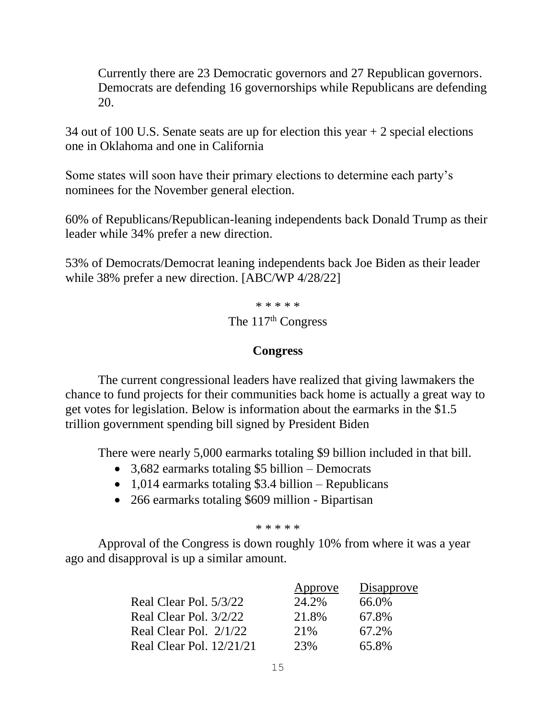Currently there are 23 Democratic governors and 27 Republican governors. Democrats are defending 16 governorships while Republicans are defending 20.

34 out of 100 U.S. Senate seats are up for election this year + 2 special elections one in Oklahoma and one in California

Some states will soon have their primary elections to determine each party's nominees for the November general election.

60% of Republicans/Republican-leaning independents back Donald Trump as their leader while 34% prefer a new direction.

53% of Democrats/Democrat leaning independents back Joe Biden as their leader while 38% prefer a new direction. [ABC/WP 4/28/22]

> \* \* \* \* \* The  $117<sup>th</sup>$  Congress

# **Congress**

The current congressional leaders have realized that giving lawmakers the chance to fund projects for their communities back home is actually a great way to get votes for legislation. Below is information about the earmarks in the \$1.5 trillion government spending bill signed by President Biden

There were nearly 5,000 earmarks totaling \$9 billion included in that bill.

- 3,682 earmarks totaling \$5 billion Democrats
- 1,014 earmarks totaling \$3.4 billion Republicans
- 266 earmarks totaling \$609 million Bipartisan

### \* \* \* \* \*

Approval of the Congress is down roughly 10% from where it was a year ago and disapproval is up a similar amount.

|                          | Approve | Disapprove |
|--------------------------|---------|------------|
| Real Clear Pol. 5/3/22   | 24.2%   | 66.0%      |
| Real Clear Pol. 3/2/22   | 21.8%   | 67.8%      |
| Real Clear Pol. $2/1/22$ | 21\%    | 67.2%      |
| Real Clear Pol. 12/21/21 | 23%     | 65.8%      |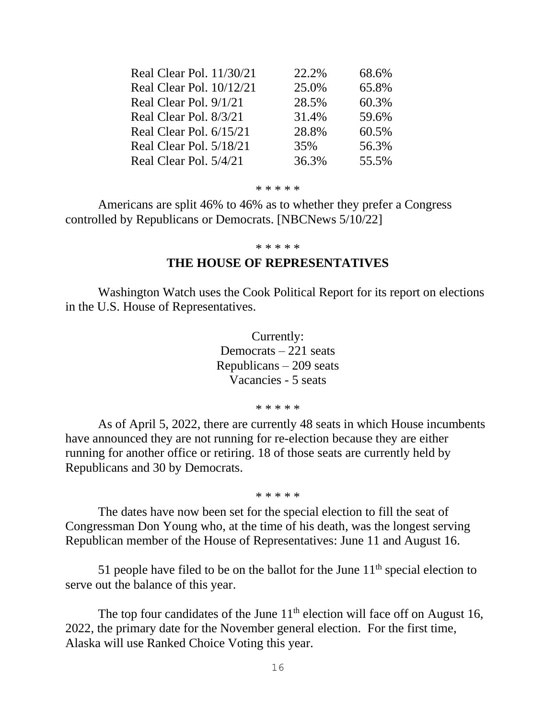| Real Clear Pol. 11/30/21 | 22.2% | 68.6% |
|--------------------------|-------|-------|
| Real Clear Pol. 10/12/21 | 25.0% | 65.8% |
| Real Clear Pol. 9/1/21   | 28.5% | 60.3% |
| Real Clear Pol. 8/3/21   | 31.4% | 59.6% |
| Real Clear Pol. 6/15/21  | 28.8% | 60.5% |
| Real Clear Pol. 5/18/21  | 35%   | 56.3% |
| Real Clear Pol. 5/4/21   | 36.3% | 55.5% |

#### \* \* \* \* \*

Americans are split 46% to 46% as to whether they prefer a Congress controlled by Republicans or Democrats. [NBCNews 5/10/22]

#### \* \* \* \* \*

# **THE HOUSE OF REPRESENTATIVES**

Washington Watch uses the Cook Political Report for its report on elections in the U.S. House of Representatives.

> Currently: Democrats – 221 seats Republicans – 209 seats Vacancies - 5 seats

> > \* \* \* \* \*

As of April 5, 2022, there are currently 48 seats in which House incumbents have announced they are not running for re-election because they are either running for another office or retiring. 18 of those seats are currently held by Republicans and 30 by Democrats.

\* \* \* \* \*

The dates have now been set for the special election to fill the seat of Congressman Don Young who, at the time of his death, was the longest serving Republican member of the House of Representatives: June 11 and August 16.

51 people have filed to be on the ballot for the June  $11<sup>th</sup>$  special election to serve out the balance of this year.

The top four candidates of the June  $11<sup>th</sup>$  election will face off on August 16, 2022, the primary date for the November general election. For the first time, Alaska will use Ranked Choice Voting this year.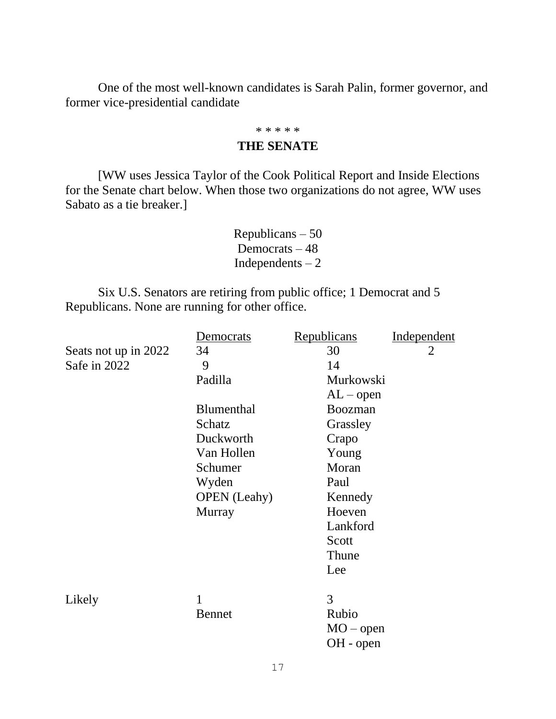One of the most well-known candidates is Sarah Palin, former governor, and former vice-presidential candidate

#### \* \* \* \* \*

# **THE SENATE**

[WW uses Jessica Taylor of the Cook Political Report and Inside Elections for the Senate chart below. When those two organizations do not agree, WW uses Sabato as a tie breaker.]

> Republicans – 50 Democrats – 48 Independents – 2

Six U.S. Senators are retiring from public office; 1 Democrat and 5 Republicans. None are running for other office.

|                      | Democrats           | Republicans | Independent    |
|----------------------|---------------------|-------------|----------------|
| Seats not up in 2022 | 34                  | 30          | $\overline{2}$ |
| Safe in 2022         | 9                   | 14          |                |
|                      | Padilla             | Murkowski   |                |
|                      |                     | $AL$ – open |                |
|                      | <b>Blumenthal</b>   | Boozman     |                |
|                      | Schatz              | Grassley    |                |
|                      | Duckworth           | Crapo       |                |
|                      | Van Hollen          | Young       |                |
|                      | Schumer             | Moran       |                |
|                      | Wyden               | Paul        |                |
|                      | <b>OPEN</b> (Leahy) | Kennedy     |                |
|                      | <b>Murray</b>       | Hoeven      |                |
|                      |                     | Lankford    |                |
|                      |                     | Scott       |                |
|                      |                     | Thune       |                |
|                      |                     | Lee         |                |
|                      |                     |             |                |
| Likely               | 1                   | 3           |                |
|                      | <b>Bennet</b>       | Rubio       |                |
|                      |                     | $MO$ – open |                |
|                      |                     | $OH$ - open |                |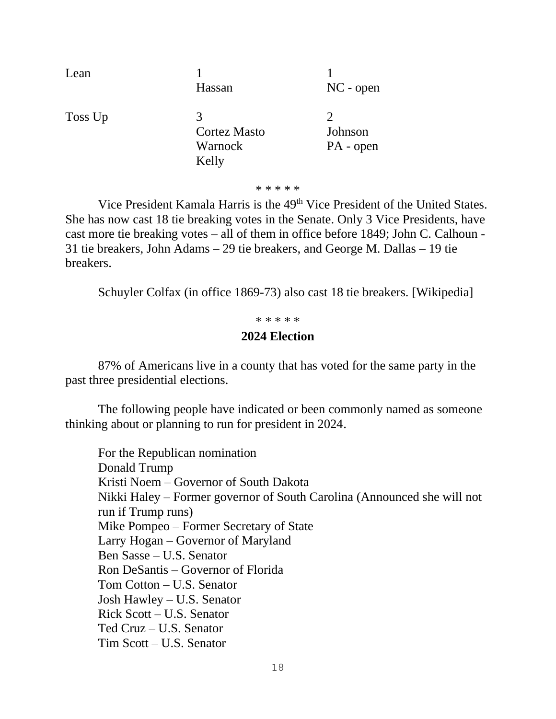| Lean    | Hassan                                       | $NC$ - open          |
|---------|----------------------------------------------|----------------------|
| Toss Up | 3<br><b>Cortez Masto</b><br>Warnock<br>Kelly | Johnson<br>PA - open |

\* \* \* \* \*

Vice President Kamala Harris is the 49<sup>th</sup> Vice President of the United States. She has now cast 18 tie breaking votes in the Senate. Only 3 Vice Presidents, have cast more tie breaking votes – all of them in office before 1849; John C. Calhoun - 31 tie breakers, John Adams – 29 tie breakers, and George M. Dallas – 19 tie breakers.

Schuyler Colfax (in office 1869-73) also cast 18 tie breakers. [Wikipedia]

\* \* \* \* \*

# **2024 Election**

87% of Americans live in a county that has voted for the same party in the past three presidential elections.

The following people have indicated or been commonly named as someone thinking about or planning to run for president in 2024.

For the Republican nomination Donald Trump Kristi Noem – Governor of South Dakota Nikki Haley – Former governor of South Carolina (Announced she will not run if Trump runs) Mike Pompeo – Former Secretary of State Larry Hogan – Governor of Maryland Ben Sasse – U.S. Senator Ron DeSantis – Governor of Florida Tom Cotton – U.S. Senator Josh Hawley – U.S. Senator Rick Scott – U.S. Senator Ted Cruz – U.S. Senator Tim Scott – U.S. Senator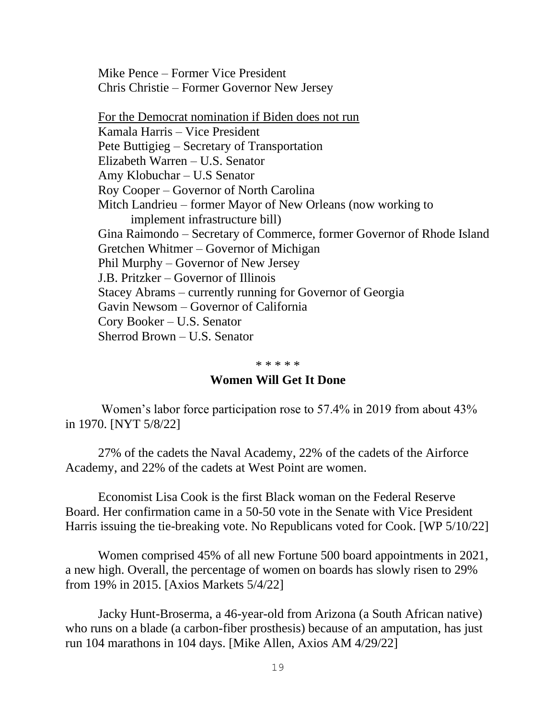Mike Pence – Former Vice President Chris Christie – Former Governor New Jersey

For the Democrat nomination if Biden does not run Kamala Harris – Vice President Pete Buttigieg – Secretary of Transportation Elizabeth Warren – U.S. Senator Amy Klobuchar – U.S Senator Roy Cooper – Governor of North Carolina Mitch Landrieu – former Mayor of New Orleans (now working to implement infrastructure bill) Gina Raimondo – Secretary of Commerce, former Governor of Rhode Island Gretchen Whitmer – Governor of Michigan Phil Murphy – Governor of New Jersey J.B. Pritzker – Governor of Illinois Stacey Abrams – currently running for Governor of Georgia Gavin Newsom – Governor of California Cory Booker – U.S. Senator Sherrod Brown – U.S. Senator

#### \* \* \* \* \*

### **Women Will Get It Done**

Women's labor force participation rose to 57.4% in 2019 from about 43% in 1970. [NYT 5/8/22]

27% of the cadets the Naval Academy, 22% of the cadets of the Airforce Academy, and 22% of the cadets at West Point are women.

Economist Lisa Cook is the first Black woman on the Federal Reserve Board. Her confirmation came in a 50-50 vote in the Senate with Vice President Harris issuing the tie-breaking vote. No Republicans voted for Cook. [WP 5/10/22]

Women comprised 45% of all new Fortune 500 board appointments in 2021, a new high. Overall, the percentage of women on boards has slowly risen to 29% from 19% in 2015. [Axios Markets 5/4/22]

Jacky Hunt-Broserma, a 46-year-old from Arizona (a South African native) who runs on a blade (a carbon-fiber prosthesis) because of an amputation, has just run 104 marathons in 104 days. [Mike Allen, Axios AM 4/29/22]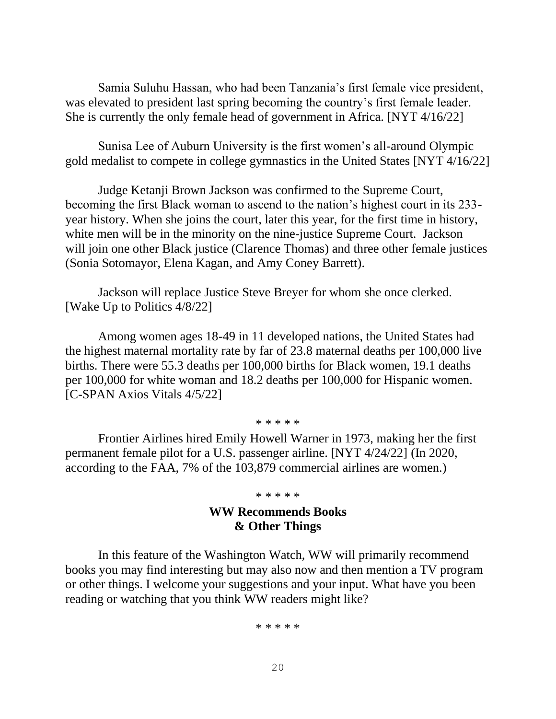Samia Suluhu Hassan, who had been Tanzania's first female vice president, was elevated to president last spring becoming the country's first female leader. She is currently the only female head of government in Africa. [NYT 4/16/22]

Sunisa Lee of Auburn University is the first women's all-around Olympic gold medalist to compete in college gymnastics in the United States [NYT 4/16/22]

Judge Ketanji Brown Jackson was confirmed to the Supreme Court, becoming the first Black woman to ascend to the nation's highest court in its 233 year history. When she joins the court, later this year, for the first time in history, white men will be in the minority on the nine-justice Supreme Court. Jackson will join one other Black justice (Clarence Thomas) and three other female justices (Sonia Sotomayor, Elena Kagan, and Amy Coney Barrett).

Jackson will replace Justice Steve Breyer for whom she once clerked. [Wake Up to Politics 4/8/22]

Among women ages 18-49 in 11 developed nations, the United States had the highest maternal mortality rate by far of 23.8 maternal deaths per 100,000 live births. There were 55.3 deaths per 100,000 births for Black women, 19.1 deaths per 100,000 for white woman and 18.2 deaths per 100,000 for Hispanic women. [C-SPAN Axios Vitals 4/5/22]

\* \* \* \* \*

Frontier Airlines hired Emily Howell Warner in 1973, making her the first permanent female pilot for a U.S. passenger airline. [NYT 4/24/22] (In 2020, according to the FAA, 7% of the 103,879 commercial airlines are women.)

\* \* \* \* \*

# **WW Recommends Books & Other Things**

In this feature of the Washington Watch, WW will primarily recommend books you may find interesting but may also now and then mention a TV program or other things. I welcome your suggestions and your input. What have you been reading or watching that you think WW readers might like?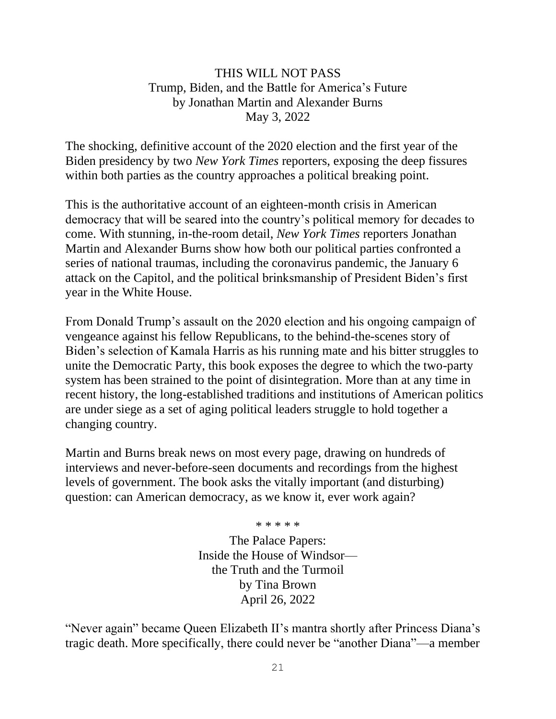# THIS WILL NOT PASS Trump, Biden, and the Battle for America's Future by Jonathan Martin and Alexander Burns May 3, 2022

The shocking, definitive account of the 2020 election and the first year of the Biden presidency by two *New York Times* reporters, exposing the deep fissures within both parties as the country approaches a political breaking point.

This is the authoritative account of an eighteen-month crisis in American democracy that will be seared into the country's political memory for decades to come. With stunning, in-the-room detail, *New York Times* reporters Jonathan Martin and Alexander Burns show how both our political parties confronted a series of national traumas, including the coronavirus pandemic, the January 6 attack on the Capitol, and the political brinksmanship of President Biden's first year in the White House.

From Donald Trump's assault on the 2020 election and his ongoing campaign of vengeance against his fellow Republicans, to the behind-the-scenes story of Biden's selection of Kamala Harris as his running mate and his bitter struggles to unite the Democratic Party, this book exposes the degree to which the two-party system has been strained to the point of disintegration. More than at any time in recent history, the long-established traditions and institutions of American politics are under siege as a set of aging political leaders struggle to hold together a changing country.

Martin and Burns break news on most every page, drawing on hundreds of interviews and never-before-seen documents and recordings from the highest levels of government. The book asks the vitally important (and disturbing) question: can American democracy, as we know it, ever work again?

> \* \* \* \* \* The Palace Papers: Inside the House of Windsor the Truth and the Turmoil by Tina Brown April 26, 2022

"Never again" became Queen Elizabeth II's mantra shortly after Princess Diana's tragic death. More specifically, there could never be "another Diana"—a member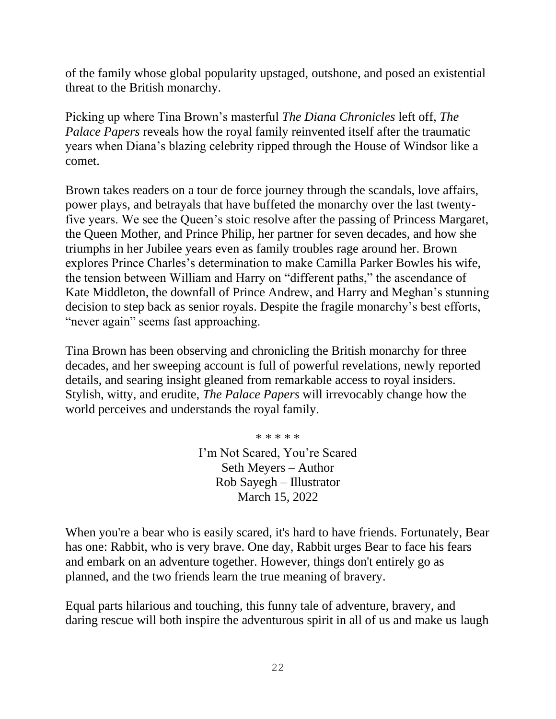of the family whose global popularity upstaged, outshone, and posed an existential threat to the British monarchy.

Picking up where Tina Brown's masterful *The Diana Chronicles* left off, *The Palace Papers* reveals how the royal family reinvented itself after the traumatic years when Diana's blazing celebrity ripped through the House of Windsor like a comet.

Brown takes readers on a tour de force journey through the scandals, love affairs, power plays, and betrayals that have buffeted the monarchy over the last twentyfive years. We see the Queen's stoic resolve after the passing of Princess Margaret, the Queen Mother, and Prince Philip, her partner for seven decades, and how she triumphs in her Jubilee years even as family troubles rage around her. Brown explores Prince Charles's determination to make Camilla Parker Bowles his wife, the tension between William and Harry on "different paths," the ascendance of Kate Middleton, the downfall of Prince Andrew, and Harry and Meghan's stunning decision to step back as senior royals. Despite the fragile monarchy's best efforts, "never again" seems fast approaching.

Tina Brown has been observing and chronicling the British monarchy for three decades, and her sweeping account is full of powerful revelations, newly reported details, and searing insight gleaned from remarkable access to royal insiders. Stylish, witty, and erudite, *The Palace Papers* will irrevocably change how the world perceives and understands the royal family.

\* \* \* \* \*

I'm Not Scared, You're Scared Seth Meyers – Author Rob Sayegh – Illustrator March 15, 2022

When you're a bear who is easily scared, it's hard to have friends. Fortunately, Bear has one: Rabbit, who is very brave. One day, Rabbit urges Bear to face his fears and embark on an adventure together. However, things don't entirely go as planned, and the two friends learn the true meaning of bravery.

Equal parts hilarious and touching, this funny tale of adventure, bravery, and daring rescue will both inspire the adventurous spirit in all of us and make us laugh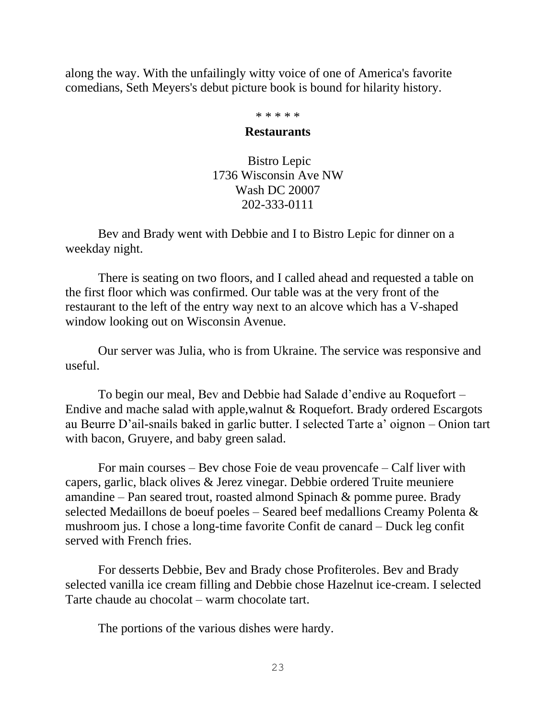along the way. With the unfailingly witty voice of one of America's favorite comedians, Seth Meyers's debut picture book is bound for hilarity history.

\* \* \* \* \*

### **Restaurants**

Bistro Lepic 1736 Wisconsin Ave NW Wash DC 20007 202-333-0111

Bev and Brady went with Debbie and I to Bistro Lepic for dinner on a weekday night.

There is seating on two floors, and I called ahead and requested a table on the first floor which was confirmed. Our table was at the very front of the restaurant to the left of the entry way next to an alcove which has a V-shaped window looking out on Wisconsin Avenue.

Our server was Julia, who is from Ukraine. The service was responsive and useful.

To begin our meal, Bev and Debbie had Salade d'endive au Roquefort – Endive and mache salad with apple,walnut & Roquefort. Brady ordered Escargots au Beurre D'ail-snails baked in garlic butter. I selected Tarte a' oignon – Onion tart with bacon, Gruyere, and baby green salad.

For main courses – Bev chose Foie de veau provencafe – Calf liver with capers, garlic, black olives & Jerez vinegar. Debbie ordered Truite meuniere amandine – Pan seared trout, roasted almond Spinach & pomme puree. Brady selected Medaillons de boeuf poeles – Seared beef medallions Creamy Polenta & mushroom jus. I chose a long-time favorite Confit de canard – Duck leg confit served with French fries.

For desserts Debbie, Bev and Brady chose Profiteroles. Bev and Brady selected vanilla ice cream filling and Debbie chose Hazelnut ice-cream. I selected Tarte chaude au chocolat – warm chocolate tart.

The portions of the various dishes were hardy.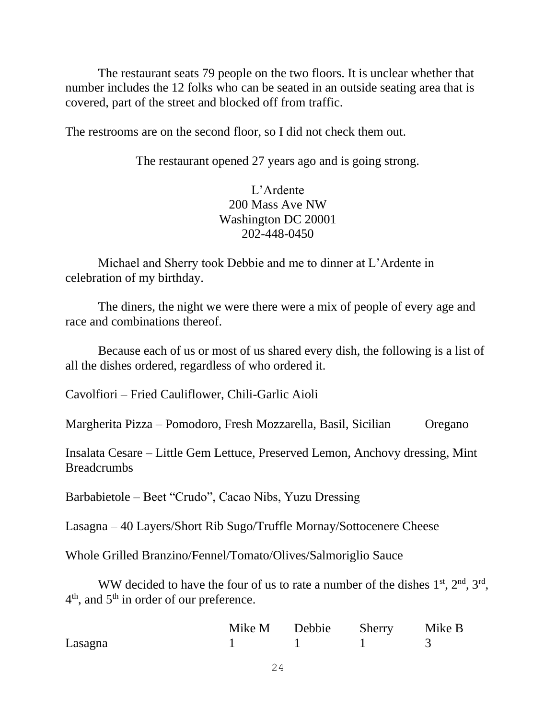The restaurant seats 79 people on the two floors. It is unclear whether that number includes the 12 folks who can be seated in an outside seating area that is covered, part of the street and blocked off from traffic.

The restrooms are on the second floor, so I did not check them out.

The restaurant opened 27 years ago and is going strong.

L'Ardente 200 Mass Ave NW Washington DC 20001 202-448-0450

Michael and Sherry took Debbie and me to dinner at L'Ardente in celebration of my birthday.

The diners, the night we were there were a mix of people of every age and race and combinations thereof.

Because each of us or most of us shared every dish, the following is a list of all the dishes ordered, regardless of who ordered it.

Cavolfiori – Fried Cauliflower, Chili-Garlic Aioli

Margherita Pizza – Pomodoro, Fresh Mozzarella, Basil, Sicilian Oregano

Insalata Cesare – Little Gem Lettuce, Preserved Lemon, Anchovy dressing, Mint **Breadcrumbs** 

Barbabietole – Beet "Crudo", Cacao Nibs, Yuzu Dressing

Lasagna – 40 Layers/Short Rib Sugo/Truffle Mornay/Sottocenere Cheese

Whole Grilled Branzino/Fennel/Tomato/Olives/Salmoriglio Sauce

WW decided to have the four of us to rate a number of the dishes  $1<sup>st</sup>, 2<sup>nd</sup>, 3<sup>rd</sup>,$  $4<sup>th</sup>$ , and  $5<sup>th</sup>$  in order of our preference.

|         |  | Mike M Debbie Sherry Mike B |  |
|---------|--|-----------------------------|--|
| Lasagna |  |                             |  |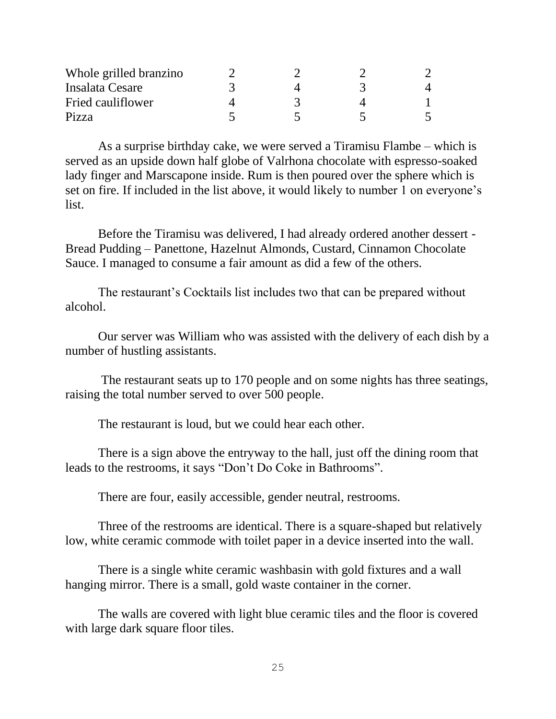| Whole grilled branzino |  |  |
|------------------------|--|--|
| Insalata Cesare        |  |  |
| Fried cauliflower      |  |  |
| Pizza                  |  |  |

As a surprise birthday cake, we were served a Tiramisu Flambe – which is served as an upside down half globe of Valrhona chocolate with espresso-soaked lady finger and Marscapone inside. Rum is then poured over the sphere which is set on fire. If included in the list above, it would likely to number 1 on everyone's list.

Before the Tiramisu was delivered, I had already ordered another dessert - Bread Pudding – Panettone, Hazelnut Almonds, Custard, Cinnamon Chocolate Sauce. I managed to consume a fair amount as did a few of the others.

The restaurant's Cocktails list includes two that can be prepared without alcohol.

Our server was William who was assisted with the delivery of each dish by a number of hustling assistants.

The restaurant seats up to 170 people and on some nights has three seatings, raising the total number served to over 500 people.

The restaurant is loud, but we could hear each other.

There is a sign above the entryway to the hall, just off the dining room that leads to the restrooms, it says "Don't Do Coke in Bathrooms".

There are four, easily accessible, gender neutral, restrooms.

Three of the restrooms are identical. There is a square-shaped but relatively low, white ceramic commode with toilet paper in a device inserted into the wall.

There is a single white ceramic washbasin with gold fixtures and a wall hanging mirror. There is a small, gold waste container in the corner.

The walls are covered with light blue ceramic tiles and the floor is covered with large dark square floor tiles.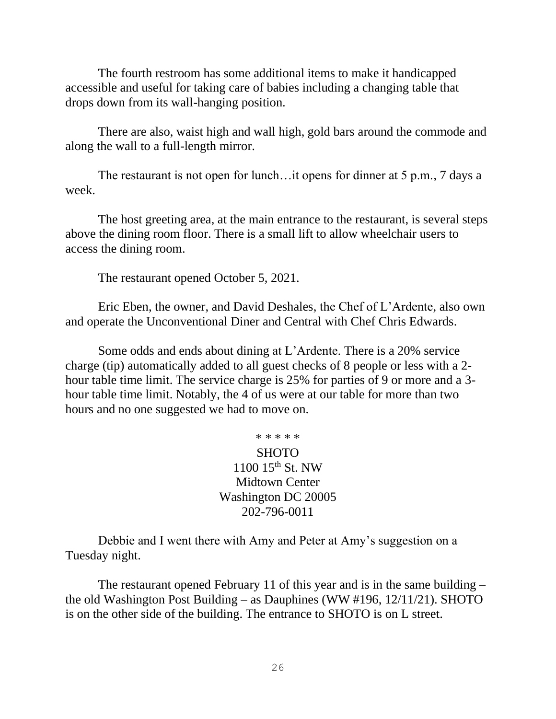The fourth restroom has some additional items to make it handicapped accessible and useful for taking care of babies including a changing table that drops down from its wall-hanging position.

There are also, waist high and wall high, gold bars around the commode and along the wall to a full-length mirror.

The restaurant is not open for lunch…it opens for dinner at 5 p.m., 7 days a week.

The host greeting area, at the main entrance to the restaurant, is several steps above the dining room floor. There is a small lift to allow wheelchair users to access the dining room.

The restaurant opened October 5, 2021.

Eric Eben, the owner, and David Deshales, the Chef of L'Ardente, also own and operate the Unconventional Diner and Central with Chef Chris Edwards.

Some odds and ends about dining at L'Ardente. There is a 20% service charge (tip) automatically added to all guest checks of 8 people or less with a 2 hour table time limit. The service charge is 25% for parties of 9 or more and a 3 hour table time limit. Notably, the 4 of us were at our table for more than two hours and no one suggested we had to move on.

\* \* \* \* \*

SHOTO 1100 15th St. NW Midtown Center Washington DC 20005 202-796-0011

Debbie and I went there with Amy and Peter at Amy's suggestion on a Tuesday night.

The restaurant opened February 11 of this year and is in the same building – the old Washington Post Building – as Dauphines (WW #196, 12/11/21). SHOTO is on the other side of the building. The entrance to SHOTO is on L street.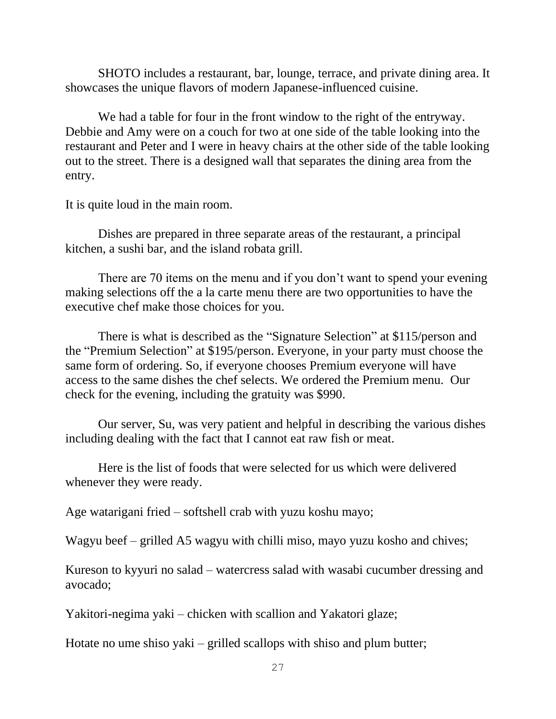SHOTO includes a restaurant, bar, lounge, terrace, and private dining area. It showcases the unique flavors of modern Japanese-influenced cuisine.

We had a table for four in the front window to the right of the entryway. Debbie and Amy were on a couch for two at one side of the table looking into the restaurant and Peter and I were in heavy chairs at the other side of the table looking out to the street. There is a designed wall that separates the dining area from the entry.

It is quite loud in the main room.

Dishes are prepared in three separate areas of the restaurant, a principal kitchen, a sushi bar, and the island robata grill.

There are 70 items on the menu and if you don't want to spend your evening making selections off the a la carte menu there are two opportunities to have the executive chef make those choices for you.

There is what is described as the "Signature Selection" at \$115/person and the "Premium Selection" at \$195/person. Everyone, in your party must choose the same form of ordering. So, if everyone chooses Premium everyone will have access to the same dishes the chef selects. We ordered the Premium menu. Our check for the evening, including the gratuity was \$990.

Our server, Su, was very patient and helpful in describing the various dishes including dealing with the fact that I cannot eat raw fish or meat.

Here is the list of foods that were selected for us which were delivered whenever they were ready.

Age watarigani fried – softshell crab with yuzu koshu mayo;

Wagyu beef – grilled A5 wagyu with chilli miso, mayo yuzu kosho and chives;

Kureson to kyyuri no salad – watercress salad with wasabi cucumber dressing and avocado;

Yakitori-negima yaki – chicken with scallion and Yakatori glaze;

Hotate no ume shiso yaki – grilled scallops with shiso and plum butter;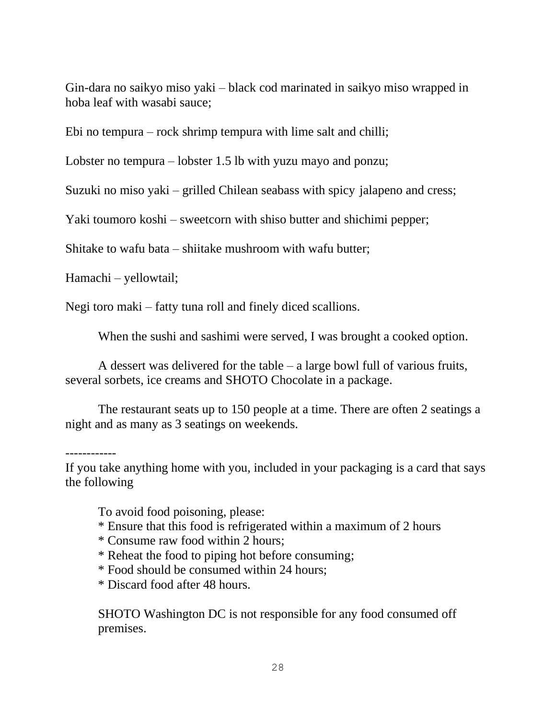Gin-dara no saikyo miso yaki – black cod marinated in saikyo miso wrapped in hoba leaf with wasabi sauce;

Ebi no tempura – rock shrimp tempura with lime salt and chilli;

Lobster no tempura – lobster 1.5 lb with yuzu mayo and ponzu;

Suzuki no miso yaki – grilled Chilean seabass with spicy jalapeno and cress;

Yaki toumoro koshi – sweetcorn with shiso butter and shichimi pepper;

Shitake to wafu bata – shiitake mushroom with wafu butter;

Hamachi – yellowtail;

Negi toro maki – fatty tuna roll and finely diced scallions.

When the sushi and sashimi were served, I was brought a cooked option.

A dessert was delivered for the table – a large bowl full of various fruits, several sorbets, ice creams and SHOTO Chocolate in a package.

The restaurant seats up to 150 people at a time. There are often 2 seatings a night and as many as 3 seatings on weekends.

------------

If you take anything home with you, included in your packaging is a card that says the following

To avoid food poisoning, please:

- \* Ensure that this food is refrigerated within a maximum of 2 hours
- \* Consume raw food within 2 hours;
- \* Reheat the food to piping hot before consuming;
- \* Food should be consumed within 24 hours;
- \* Discard food after 48 hours.

SHOTO Washington DC is not responsible for any food consumed off premises.